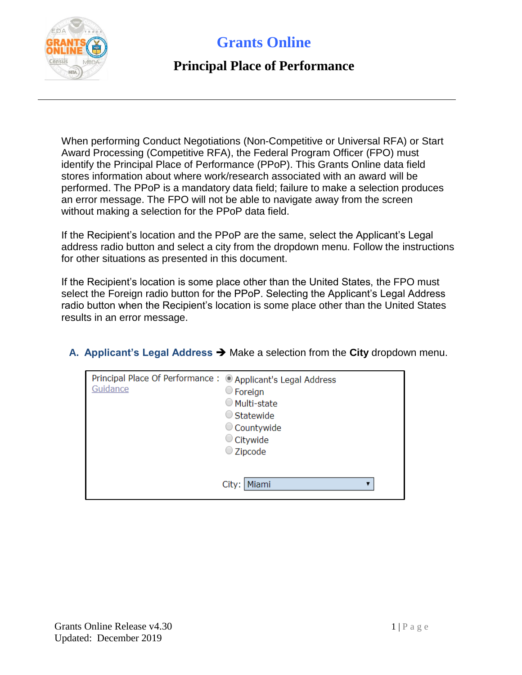

#### **Principal Place of Performance**

When performing Conduct Negotiations (Non-Competitive or Universal RFA) or Start Award Processing (Competitive RFA), the Federal Program Officer (FPO) must identify the Principal Place of Performance (PPoP). This Grants Online data field stores information about where work/research associated with an award will be performed. The PPoP is a mandatory data field; failure to make a selection produces an error message. The FPO will not be able to navigate away from the screen without making a selection for the PPoP data field.

If the Recipient's location and the PPoP are the same, select the Applicant's Legal address radio button and select a city from the dropdown menu. Follow the instructions for other situations as presented in this document.

If the Recipient's location is some place other than the United States, the FPO must select the Foreign radio button for the PPoP. Selecting the Applicant's Legal Address radio button when the Recipient's location is some place other than the United States results in an error message.

**A.** Applicant's Legal Address → Make a selection from the City dropdown menu.

| Principal Place Of Performance: © Applicant's Legal Address<br>Guidance | $\circ$ Foreign<br>○ Multi-state<br>$\bigcirc$ Statewide<br>$\circ$ Countywide<br>$\circ$ Citywide<br>$\bigcirc$ Zipcode |
|-------------------------------------------------------------------------|--------------------------------------------------------------------------------------------------------------------------|
|                                                                         | Miami<br>City:                                                                                                           |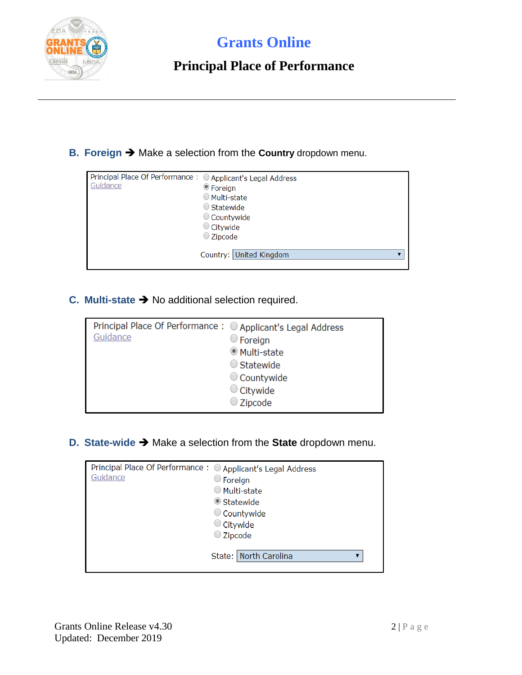

### **Principal Place of Performance**

**B. Foreign →** Make a selection from the **Country** dropdown menu.

| Principal Place Of Performance : ○ Applicant's Legal Address<br>Guidance | ● Foreign<br>○ Multi-state<br>$\bigcirc$ Statewide<br>Countywide<br>$\circ$ Citywide<br>$\bigcirc$ Zipcode |
|--------------------------------------------------------------------------|------------------------------------------------------------------------------------------------------------|
|                                                                          | Country: United Kingdom                                                                                    |

**C. Multi-state** No additional selection required.

| Principal Place Of Performance: O Applicant's Legal Address<br>Guidance | $\circ$ Foreign<br><b>Multi-state</b><br>$\bigcirc$ Statewide |
|-------------------------------------------------------------------------|---------------------------------------------------------------|
|                                                                         | Countywide                                                    |
|                                                                         | $\circ$ Citywide                                              |
|                                                                         | $\bigcirc$ Zipcode                                            |

**D. State-wide →** Make a selection from the **State** dropdown menu.

| Principal Place Of Performance : ○ Applicant's Legal Address<br>Guidance | $\circ$ Foreign<br>○ Multi-state<br>Statewide<br>Countywide<br>$\circ$ Citywide<br>$\bigcirc$ Zipcode |
|--------------------------------------------------------------------------|-------------------------------------------------------------------------------------------------------|
|                                                                          | State: North Carolina                                                                                 |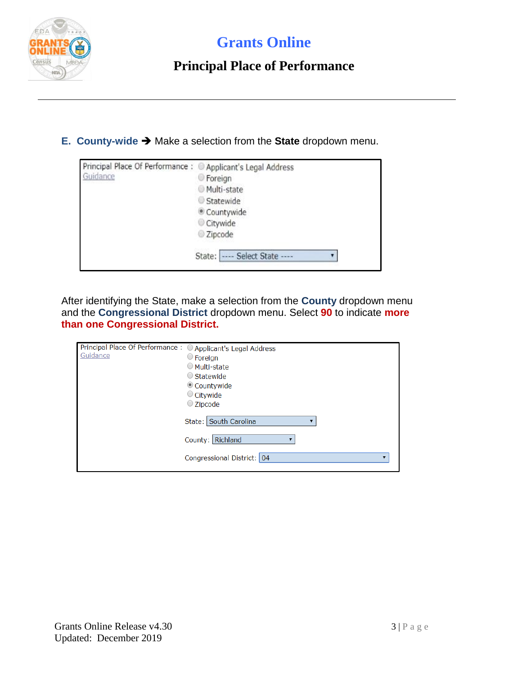

### **Principal Place of Performance**

**E.** County-wide → Make a selection from the State dropdown menu.

| Principal Place Of Performance: @ Applicant's Legal Address |                                 |
|-------------------------------------------------------------|---------------------------------|
| Guidance                                                    | <b>Foreign</b>                  |
|                                                             | Multi-state                     |
|                                                             | Statewide                       |
|                                                             | Countywide                      |
|                                                             | Citywide                        |
|                                                             | Zipcode                         |
|                                                             | --- Select State ----<br>State: |

After identifying the State, make a selection from the **County** dropdown menu and the **Congressional District** dropdown menu. Select **90** to indicate **more than one Congressional District.** 

| Principal Place Of Performance: O Applicant's Legal Address<br>Guidance | $\circ$ Foreign<br>○ Multi-state<br>$\bigcirc$ Statewide<br>Countywide<br>$\circ$ Citywide<br>$\bigcirc$ Zipcode |
|-------------------------------------------------------------------------|------------------------------------------------------------------------------------------------------------------|
|                                                                         | State: South Carolina<br>County: Richland<br>Congressional District: 04                                          |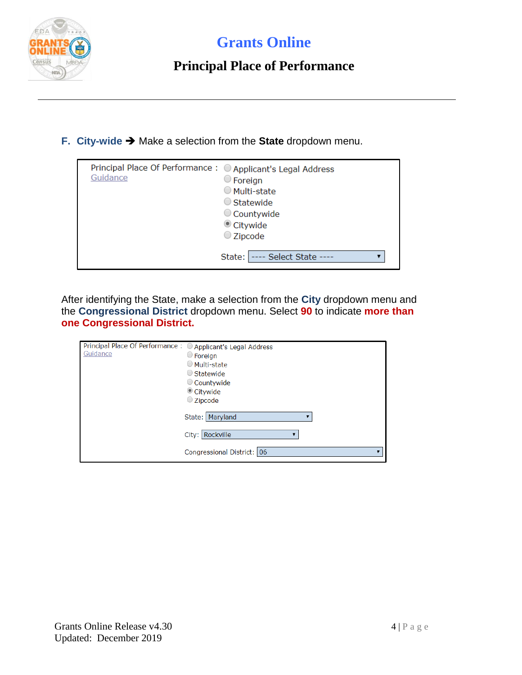

### **Principal Place of Performance**

**F.** City-wide → Make a selection from the State dropdown menu.

| Principal Place Of Performance: O Applicant's Legal Address<br>Guidance | $\circ$ Foreign<br>$\circlearrowright$ Multi-state<br>$\bigcirc$ Statewide<br>Countywide<br>Citywide<br>$\bigcirc$ Zipcode |
|-------------------------------------------------------------------------|----------------------------------------------------------------------------------------------------------------------------|
|                                                                         | ---- Select State ----<br>State:                                                                                           |

After identifying the State, make a selection from the **City** dropdown menu and the **Congressional District** dropdown menu. Select **90** to indicate **more than one Congressional District.** 

| Principal Place Of Performance: O Applicant's Legal Address<br>Guidance | $\circ$ Foreign<br>○ Multi-state<br>Statewide<br>Countywide<br>Citywide<br>$\bigcirc$ Zipcode |
|-------------------------------------------------------------------------|-----------------------------------------------------------------------------------------------|
|                                                                         | State:   Maryland                                                                             |
|                                                                         | City: Rockville                                                                               |
|                                                                         | Congressional District: 06                                                                    |